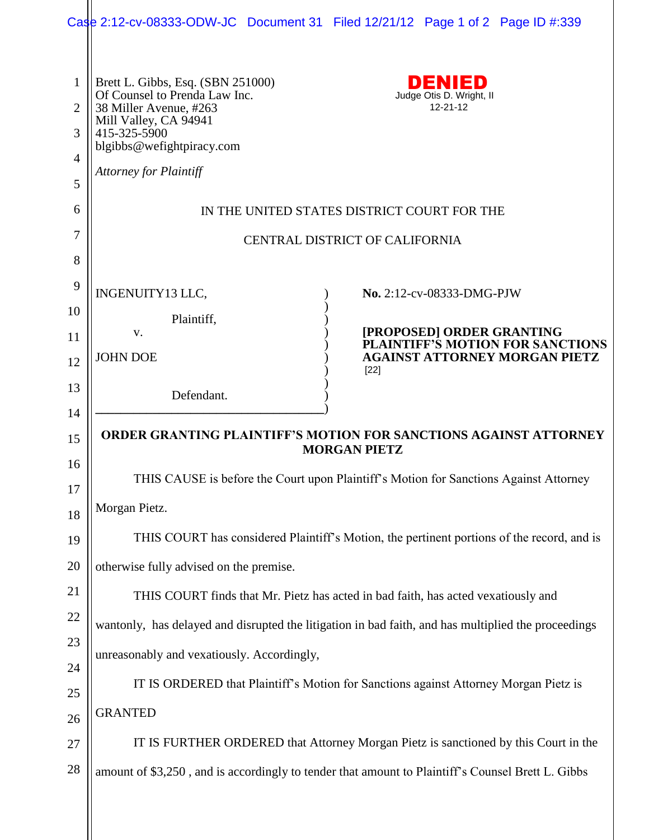|                                                            | Case 2:12-cv-08333-ODW-JC Document 31 Filed 12/21/12 Page 1 of 2 Page ID #:339                                                                                                                                                                              |  |  |  |  |  |  |
|------------------------------------------------------------|-------------------------------------------------------------------------------------------------------------------------------------------------------------------------------------------------------------------------------------------------------------|--|--|--|--|--|--|
| $\mathbf{1}$<br>$\overline{2}$<br>3<br>$\overline{4}$<br>5 | DENIED<br>Brett L. Gibbs, Esq. (SBN 251000)<br>Of Counsel to Prenda Law Inc.<br>Judge Otis D. Wright, II<br>$12 - 21 - 12$<br>38 Miller Avenue, #263<br>Mill Valley, CA 94941<br>415-325-5900<br>blgibbs@wefightpiracy.com<br><b>Attorney for Plaintiff</b> |  |  |  |  |  |  |
| 6                                                          | IN THE UNITED STATES DISTRICT COURT FOR THE                                                                                                                                                                                                                 |  |  |  |  |  |  |
| 7                                                          | CENTRAL DISTRICT OF CALIFORNIA                                                                                                                                                                                                                              |  |  |  |  |  |  |
| 8<br>9                                                     | INGENUITY13 LLC,<br>No. 2:12-cv-08333-DMG-PJW                                                                                                                                                                                                               |  |  |  |  |  |  |
| 10                                                         | Plaintiff,                                                                                                                                                                                                                                                  |  |  |  |  |  |  |
| 11                                                         | [PROPOSED] ORDER GRANTING<br>V.<br><b>PLAINTIFF'S MOTION FOR SANCTIONS</b>                                                                                                                                                                                  |  |  |  |  |  |  |
| 12                                                         | <b>JOHN DOE</b><br><b>AGAINST ATTORNEY MORGAN PIETZ</b><br>$[22]$                                                                                                                                                                                           |  |  |  |  |  |  |
| 13                                                         | Defendant.                                                                                                                                                                                                                                                  |  |  |  |  |  |  |
| 14                                                         |                                                                                                                                                                                                                                                             |  |  |  |  |  |  |
| 15                                                         | <b>ORDER GRANTING PLAINTIFF'S MOTION FOR SANCTIONS AGAINST ATTORNEY</b><br><b>MORGAN PIETZ</b>                                                                                                                                                              |  |  |  |  |  |  |
| 16<br>17                                                   | THIS CAUSE is before the Court upon Plaintiff's Motion for Sanctions Against Attorney                                                                                                                                                                       |  |  |  |  |  |  |
| 18                                                         | Morgan Pietz.                                                                                                                                                                                                                                               |  |  |  |  |  |  |
| 19                                                         | THIS COURT has considered Plaintiff's Motion, the pertinent portions of the record, and is                                                                                                                                                                  |  |  |  |  |  |  |
| 20                                                         | otherwise fully advised on the premise.                                                                                                                                                                                                                     |  |  |  |  |  |  |
| 21                                                         | THIS COURT finds that Mr. Pietz has acted in bad faith, has acted vexatiously and                                                                                                                                                                           |  |  |  |  |  |  |
| 22                                                         | wantonly, has delayed and disrupted the litigation in bad faith, and has multiplied the proceedings                                                                                                                                                         |  |  |  |  |  |  |
| 23                                                         | unreasonably and vexatiously. Accordingly,                                                                                                                                                                                                                  |  |  |  |  |  |  |
| 24<br>25                                                   | IT IS ORDERED that Plaintiff's Motion for Sanctions against Attorney Morgan Pietz is                                                                                                                                                                        |  |  |  |  |  |  |
| 26                                                         | <b>GRANTED</b>                                                                                                                                                                                                                                              |  |  |  |  |  |  |
| 27                                                         | IT IS FURTHER ORDERED that Attorney Morgan Pietz is sanctioned by this Court in the                                                                                                                                                                         |  |  |  |  |  |  |
| 28                                                         | amount of \$3,250, and is accordingly to tender that amount to Plaintiff's Counsel Brett L. Gibbs                                                                                                                                                           |  |  |  |  |  |  |